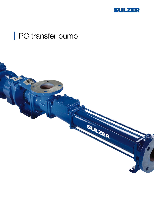

# PC transfer pump

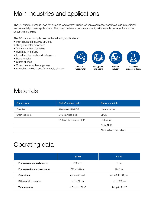## Main industries and applications

The PC transfer pump is used for pumping wastewater sludge, effluents and shear sensitive fluids in municipal and industrial process applications. The pump delivers a constant capacity with variable pressure for viscous, shear thinning fluids.

The PC transfer pump is used in the following applications:

- Municipal and industrial effluents
- Sludge transfer processes
- Shear sensitive processes
- Hydrated lime slurry
- Industrial chemicals and detergents
- Paper stocks
- Starch slurries
- Ground water with manganese
- Agricultural effluent and farm waste slurries







General industry



Water and wastewater

Pulp, paper and board

Chemical process industry

### **Materials**

| Pump body       | Rotor/rotating parts      | <b>Stator materials</b>  |
|-----------------|---------------------------|--------------------------|
| Cast iron       | Alloy steel with HCP      | Natural rubber           |
| Stainless steel | 316 stainless steel       | <b>EPDM</b>              |
|                 | 316 stainless steel + HCP | High nitrile             |
|                 |                           | Nitrile NBR              |
|                 |                           | Fluoro-elastomer / Viton |

## Operating data

|                                | 50 Hz                       | 60 Hz                   |
|--------------------------------|-----------------------------|-------------------------|
| Pump sizes (up to diameter)    | 250 mm                      | 10 in.                  |
| Pump size (square inlet up to) | $240 \times 240$ mm         | $9 \times 9$ in.        |
| Capacities                     | up to $440 \text{ m}^3/h$   | up to 990 USgpm         |
| Differential pressures         | up to 24 bar                | up to 350 psi           |
| <b>Temperatures</b>            | $-10$ up to $100^{\circ}$ C | 14 up to $212^{\circ}F$ |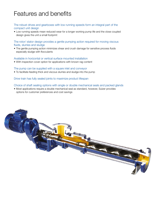### Features and benefits

#### The robust drives and gearboxes with low running speeds form an integral part of the compact unit design

• Low running speeds mean reduced wear for a longer working pump life and the close coupled design gives the unit a small footprint

The rotor/ stator design provides a gentle pumping action required for moving viscous fluids, slurries and sludge

• The gentle pumping action minimizes shear and crush damage for sensitive process fluids especially sludge with flocculants

#### Available in horizontal or vertical surface mounted installation

• With inspection cover option for applications with known rag content

The pump can be supplied with a square inlet and conveyor

• To facilitate feeding thick and viscous slurries and sludge into the pump

Drive train has fully sealed joints to maximize product lifespan

#### Choice of shaft sealing options with single or double mechanical seals and packed glands

• Most applications require a double mechanical seal as standard, however, Sulzer provides options for customer preferences and cost savings